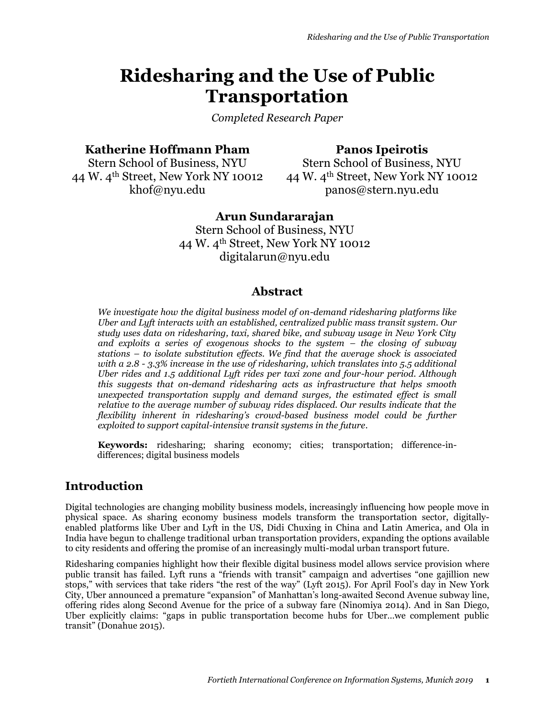# **Ridesharing and the Use of Public Transportation**

*Completed Research Paper*

### **Katherine Hoffmann Pham**

# **Panos Ipeirotis**

Stern School of Business, NYU 44 W. 4th Street, New York NY 10012 khof@nyu.edu

Stern School of Business, NYU 44 W. 4th Street, New York NY 10012 panos@stern.nyu.edu

# **Arun Sundararajan**

Stern School of Business, NYU 44 W. 4th Street, New York NY 10012 digitalarun@nyu.edu

# **Abstract**

*We investigate how the digital business model of on-demand ridesharing platforms like Uber and Lyft interacts with an established, centralized public mass transit system. Our study uses data on ridesharing, taxi, shared bike, and subway usage in New York City and exploits a series of exogenous shocks to the system – the closing of subway stations – to isolate substitution effects. We find that the average shock is associated with a 2.8 - 3.3% increase in the use of ridesharing, which translates into 5.5 additional Uber rides and 1.5 additional Lyft rides per taxi zone and four-hour period. Although this suggests that on-demand ridesharing acts as infrastructure that helps smooth unexpected transportation supply and demand surges, the estimated effect is small relative to the average number of subway rides displaced. Our results indicate that the flexibility inherent in ridesharing's crowd-based business model could be further exploited to support capital-intensive transit systems in the future.*

**Keywords:** ridesharing; sharing economy; cities; transportation; difference-indifferences; digital business models

# **Introduction**

Digital technologies are changing mobility business models, increasingly influencing how people move in physical space. As sharing economy business models transform the transportation sector, digitallyenabled platforms like Uber and Lyft in the US, Didi Chuxing in China and Latin America, and Ola in India have begun to challenge traditional urban transportation providers, expanding the options available to city residents and offering the promise of an increasingly multi-modal urban transport future.

Ridesharing companies highlight how their flexible digital business model allows service provision where public transit has failed. Lyft runs a "friends with transit" campaign and advertises "one gajillion new stops," with services that take riders "the rest of the way" (Lyft 2015). For April Fool's day in New York City, Uber announced a premature "expansion" of Manhattan's long-awaited Second Avenue subway line, offering rides along Second Avenue for the price of a subway fare (Ninomiya 2014). And in San Diego, Uber explicitly claims: "gaps in public transportation become hubs for Uber…we complement public transit" (Donahue 2015).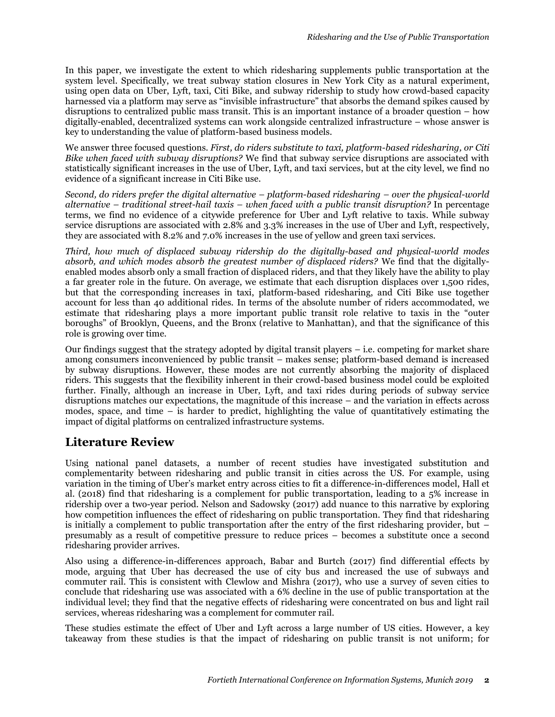In this paper, we investigate the extent to which ridesharing supplements public transportation at the system level. Specifically, we treat subway station closures in New York City as a natural experiment, using open data on Uber, Lyft, taxi, Citi Bike, and subway ridership to study how crowd-based capacity harnessed via a platform may serve as "invisible infrastructure" that absorbs the demand spikes caused by disruptions to centralized public mass transit. This is an important instance of a broader question – how digitally-enabled, decentralized systems can work alongside centralized infrastructure – whose answer is key to understanding the value of platform-based business models.

We answer three focused questions. *First, do riders substitute to taxi, platform-based ridesharing, or Citi Bike when faced with subway disruptions?* We find that subway service disruptions are associated with statistically significant increases in the use of Uber, Lyft, and taxi services, but at the city level, we find no evidence of a significant increase in Citi Bike use.

*Second, do riders prefer the digital alternative – platform-based ridesharing – over the physical-world alternative – traditional street-hail taxis – when faced with a public transit disruption?* In percentage terms, we find no evidence of a citywide preference for Uber and Lyft relative to taxis. While subway service disruptions are associated with 2.8% and 3.3% increases in the use of Uber and Lyft, respectively, they are associated with 8.2% and 7.0% increases in the use of yellow and green taxi services.

*Third, how much of displaced subway ridership do the digitally-based and physical-world modes absorb, and which modes absorb the greatest number of displaced riders?* We find that the digitallyenabled modes absorb only a small fraction of displaced riders, and that they likely have the ability to play a far greater role in the future. On average, we estimate that each disruption displaces over 1,500 rides, but that the corresponding increases in taxi, platform-based ridesharing, and Citi Bike use together account for less than 40 additional rides. In terms of the absolute number of riders accommodated, we estimate that ridesharing plays a more important public transit role relative to taxis in the "outer boroughs" of Brooklyn, Queens, and the Bronx (relative to Manhattan), and that the significance of this role is growing over time.

Our findings suggest that the strategy adopted by digital transit players – i.e. competing for market share among consumers inconvenienced by public transit – makes sense; platform-based demand is increased by subway disruptions. However, these modes are not currently absorbing the majority of displaced riders. This suggests that the flexibility inherent in their crowd-based business model could be exploited further. Finally, although an increase in Uber, Lyft, and taxi rides during periods of subway service disruptions matches our expectations, the magnitude of this increase – and the variation in effects across modes, space, and time  $-$  is harder to predict, highlighting the value of quantitatively estimating the impact of digital platforms on centralized infrastructure systems.

# **Literature Review**

Using national panel datasets, a number of recent studies have investigated substitution and complementarity between ridesharing and public transit in cities across the US. For example, using variation in the timing of Uber's market entry across cities to fit a difference-in-differences model, Hall et al. (2018) find that ridesharing is a complement for public transportation, leading to a 5% increase in ridership over a two-year period. Nelson and Sadowsky (2017) add nuance to this narrative by exploring how competition influences the effect of ridesharing on public transportation. They find that ridesharing is initially a complement to public transportation after the entry of the first ridesharing provider, but  $$ presumably as a result of competitive pressure to reduce prices – becomes a substitute once a second ridesharing provider arrives.

Also using a difference-in-differences approach, Babar and Burtch (2017) find differential effects by mode, arguing that Uber has decreased the use of city bus and increased the use of subways and commuter rail. This is consistent with Clewlow and Mishra (2017), who use a survey of seven cities to conclude that ridesharing use was associated with a 6% decline in the use of public transportation at the individual level; they find that the negative effects of ridesharing were concentrated on bus and light rail services, whereas ridesharing was a complement for commuter rail.

These studies estimate the effect of Uber and Lyft across a large number of US cities. However, a key takeaway from these studies is that the impact of ridesharing on public transit is not uniform; for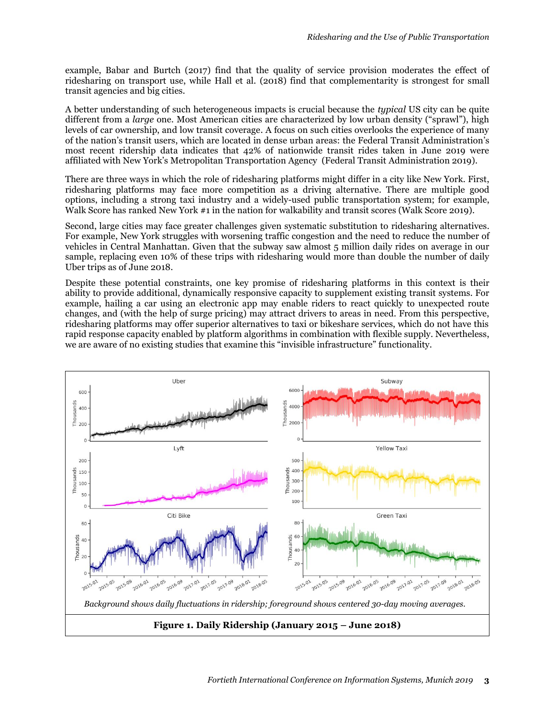example, Babar and Burtch (2017) find that the quality of service provision moderates the effect of ridesharing on transport use, while Hall et al. (2018) find that complementarity is strongest for small transit agencies and big cities.

A better understanding of such heterogeneous impacts is crucial because the *typical* US city can be quite different from a *large* one. Most American cities are characterized by low urban density ("sprawl"), high levels of car ownership, and low transit coverage. A focus on such cities overlooks the experience of many of the nation's transit users, which are located in dense urban areas: the Federal Transit Administration's most recent ridership data indicates that 42% of nationwide transit rides taken in June 2019 were affiliated with New York's Metropolitan Transportation Agency (Federal Transit Administration 2019).

There are three ways in which the role of ridesharing platforms might differ in a city like New York. First, ridesharing platforms may face more competition as a driving alternative. There are multiple good options, including a strong taxi industry and a widely-used public transportation system; for example, Walk Score has ranked New York #1 in the nation for walkability and transit scores (Walk Score 2019).

Second, large cities may face greater challenges given systematic substitution to ridesharing alternatives. For example, New York struggles with worsening traffic congestion and the need to reduce the number of vehicles in Central Manhattan. Given that the subway saw almost 5 million daily rides on average in our sample, replacing even 10% of these trips with ridesharing would more than double the number of daily Uber trips as of June 2018.

Despite these potential constraints, one key promise of ridesharing platforms in this context is their ability to provide additional, dynamically responsive capacity to supplement existing transit systems. For example, hailing a car using an electronic app may enable riders to react quickly to unexpected route changes, and (with the help of surge pricing) may attract drivers to areas in need. From this perspective, ridesharing platforms may offer superior alternatives to taxi or bikeshare services, which do not have this rapid response capacity enabled by platform algorithms in combination with flexible supply. Nevertheless, we are aware of no existing studies that examine this "invisible infrastructure" functionality.

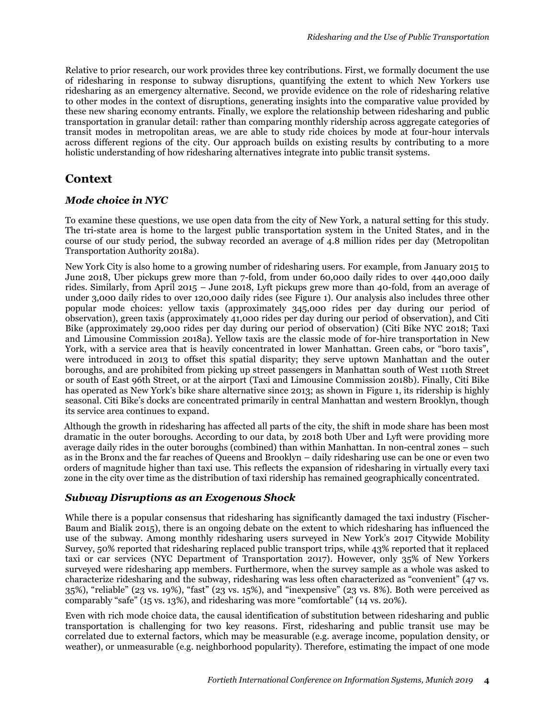Relative to prior research, our work provides three key contributions. First, we formally document the use of ridesharing in response to subway disruptions, quantifying the extent to which New Yorkers use ridesharing as an emergency alternative. Second, we provide evidence on the role of ridesharing relative to other modes in the context of disruptions, generating insights into the comparative value provided by these new sharing economy entrants. Finally, we explore the relationship between ridesharing and public transportation in granular detail: rather than comparing monthly ridership across aggregate categories of transit modes in metropolitan areas, we are able to study ride choices by mode at four-hour intervals across different regions of the city. Our approach builds on existing results by contributing to a more holistic understanding of how ridesharing alternatives integrate into public transit systems.

# <span id="page-3-0"></span>**Context**

#### *Mode choice in NYC*

To examine these questions, we use open data from the city of New York, a natural setting for this study. The tri-state area is home to the largest public transportation system in the United States, and in the course of our study period, the subway recorded an average of 4.8 million rides per day (Metropolitan Transportation Authority 2018a).

New York City is also home to a growing number of ridesharing users. For example, from January 2015 to June 2018, Uber pickups grew more than 7-fold, from under 60,000 daily rides to over 440,000 daily rides. Similarly, from April 2015 – June 2018, Lyft pickups grew more than 40-fold, from an average of under 3,000 daily rides to over 120,000 daily rides (see Figure 1). Our analysis also includes three other popular mode choices: yellow taxis (approximately 345,000 rides per day during our period of observation), green taxis (approximately 41,000 rides per day during our period of observation), and Citi Bike (approximately 29,000 rides per day during our period of observation) (Citi Bike NYC 2018; Taxi and Limousine Commission 2018a). Yellow taxis are the classic mode of for-hire transportation in New York, with a service area that is heavily concentrated in lower Manhattan. Green cabs, or "boro taxis", were introduced in 2013 to offset this spatial disparity; they serve uptown Manhattan and the outer boroughs, and are prohibited from picking up street passengers in Manhattan south of West 110th Street or south of East 96th Street, or at the airport (Taxi and Limousine Commission 2018b). Finally, Citi Bike has operated as New York's bike share alternative since 2013; as shown in Figure 1, its ridership is highly seasonal. Citi Bike's docks are concentrated primarily in central Manhattan and western Brooklyn, though its service area continues to expand.

Although the growth in ridesharing has affected all parts of the city, the shift in mode share has been most dramatic in the outer boroughs. According to our data, by 2018 both Uber and Lyft were providing more average daily rides in the outer boroughs (combined) than within Manhattan. In non-central zones – such as in the Bronx and the far reaches of Queens and Brooklyn – daily ridesharing use can be one or even two orders of magnitude higher than taxi use. This reflects the expansion of ridesharing in virtually every taxi zone in the city over time as the distribution of taxi ridership has remained geographically concentrated.

### *Subway Disruptions as an Exogenous Shock*

While there is a popular consensus that ridesharing has significantly damaged the taxi industry (Fischer-Baum and Bialik 2015), there is an ongoing debate on the extent to which ridesharing has influenced the use of the subway. Among monthly ridesharing users surveyed in New York's 2017 Citywide Mobility Survey, 50% reported that ridesharing replaced public transport trips, while 43% reported that it replaced taxi or car services (NYC Department of Transportation 2017). However, only 35% of New Yorkers surveyed were ridesharing app members. Furthermore, when the survey sample as a whole was asked to characterize ridesharing and the subway, ridesharing was less often characterized as "convenient" (47 vs. 35%), "reliable" (23 vs. 19%), "fast" (23 vs. 15%), and "inexpensive" (23 vs. 8%). Both were perceived as comparably "safe" (15 vs. 13%), and ridesharing was more "comfortable" (14 vs. 20%).

Even with rich mode choice data, the causal identification of substitution between ridesharing and public transportation is challenging for two key reasons. First, ridesharing and public transit use may be correlated due to external factors, which may be measurable (e.g. average income, population density, or weather), or unmeasurable (e.g. neighborhood popularity). Therefore, estimating the impact of one mode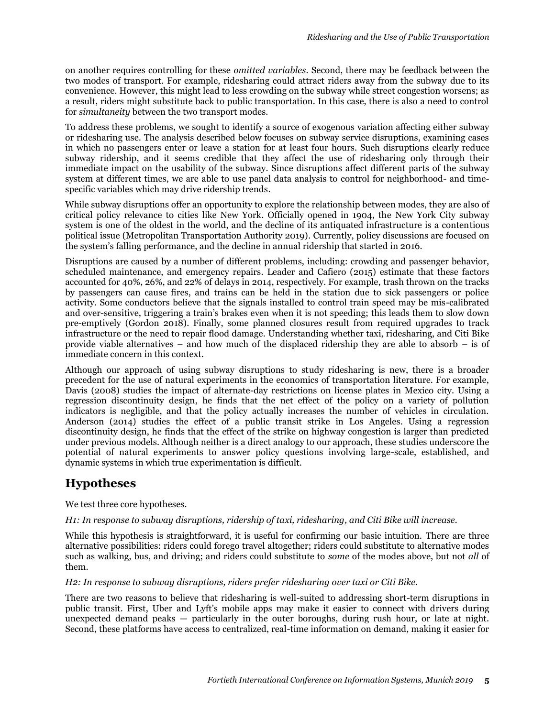on another requires controlling for these *omitted variables*. Second, there may be feedback between the two modes of transport. For example, ridesharing could attract riders away from the subway due to its convenience. However, this might lead to less crowding on the subway while street congestion worsens; as a result, riders might substitute back to public transportation. In this case, there is also a need to control for *simultaneity* between the two transport modes.

To address these problems, we sought to identify a source of exogenous variation affecting either subway or ridesharing use. The analysis described below focuses on subway service disruptions, examining cases in which no passengers enter or leave a station for at least four hours. Such disruptions clearly reduce subway ridership, and it seems credible that they affect the use of ridesharing only through their immediate impact on the usability of the subway. Since disruptions affect different parts of the subway system at different times, we are able to use panel data analysis to control for neighborhood- and timespecific variables which may drive ridership trends.

While subway disruptions offer an opportunity to explore the relationship between modes, they are also of critical policy relevance to cities like New York. Officially opened in 1904, the New York City subway system is one of the oldest in the world, and the decline of its antiquated infrastructure is a contentious political issue (Metropolitan Transportation Authority 2019). Currently, policy discussions are focused on the system's falling performance, and the decline in annual ridership that started in 2016.

Disruptions are caused by a number of different problems, including: crowding and passenger behavior, scheduled maintenance, and emergency repairs. Leader and Cafiero (2015) estimate that these factors accounted for 40%, 26%, and 22% of delays in 2014, respectively. For example, trash thrown on the tracks by passengers can cause fires, and trains can be held in the station due to sick passengers or police activity. Some conductors believe that the signals installed to control train speed may be mis-calibrated and over-sensitive, triggering a train's brakes even when it is not speeding; this leads them to slow down pre-emptively (Gordon 2018). Finally, some planned closures result from required upgrades to track infrastructure or the need to repair flood damage. Understanding whether taxi, ridesharing, and Citi Bike provide viable alternatives – and how much of the displaced ridership they are able to absorb – is of immediate concern in this context.

<span id="page-4-0"></span>Although our approach of using subway disruptions to study ridesharing is new, there is a broader precedent for the use of natural experiments in the economics of transportation literature. For example, Davis (2008) studies the impact of alternate-day restrictions on license plates in Mexico city. Using a regression discontinuity design, he finds that the net effect of the policy on a variety of pollution indicators is negligible, and that the policy actually increases the number of vehicles in circulation. Anderson (2014) studies the effect of a public transit strike in Los Angeles. Using a regression discontinuity design, he finds that the effect of the strike on highway congestion is larger than predicted under previous models. Although neither is a direct analogy to our approach, these studies underscore the potential of natural experiments to answer policy questions involving large-scale, established, and dynamic systems in which true experimentation is difficult.

# **Hypotheses**

We test three core hypotheses.

#### *H1: In response to subway disruptions, ridership of taxi, ridesharing, and Citi Bike will increase.*

While this hypothesis is straightforward, it is useful for confirming our basic intuition. There are three alternative possibilities: riders could forego travel altogether; riders could substitute to alternative modes such as walking, bus, and driving; and riders could substitute to *some* of the modes above, but not *all* of them.

#### *H2: In response to subway disruptions, riders prefer ridesharing over taxi or Citi Bike.*

There are two reasons to believe that ridesharing is well-suited to addressing short-term disruptions in public transit. First, Uber and Lyft's mobile apps may make it easier to connect with drivers during unexpected demand peaks — particularly in the outer boroughs, during rush hour, or late at night. Second, these platforms have access to centralized, real-time information on demand, making it easier for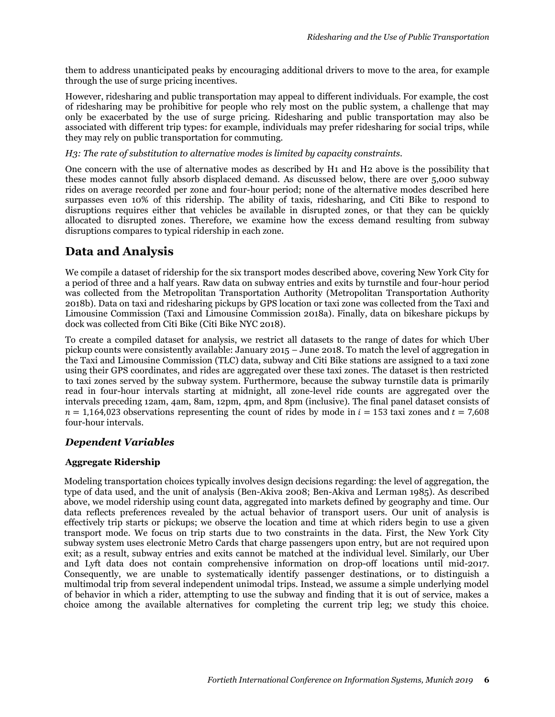them to address unanticipated peaks by encouraging additional drivers to move to the area, for example through the use of surge pricing incentives.

However, ridesharing and public transportation may appeal to different individuals. For example, the cost of ridesharing may be prohibitive for people who rely most on the public system, a challenge that may only be exacerbated by the use of surge pricing. Ridesharing and public transportation may also be associated with different trip types: for example, individuals may prefer ridesharing for social trips, while they may rely on public transportation for commuting.

#### *H3: The rate of substitution to alternative modes is limited by capacity constraints.*

One concern with the use of alternative modes as described by H1 and H2 above is the possibility that these modes cannot fully absorb displaced demand. As discussed below, there are over 5,000 subway rides on average recorded per zone and four-hour period; none of the alternative modes described here surpasses even 10% of this ridership. The ability of taxis, ridesharing, and Citi Bike to respond to disruptions requires either that vehicles be available in disrupted zones, or that they can be quickly allocated to disrupted zones. Therefore, we examine how the excess demand resulting from subway disruptions compares to typical ridership in each zone.

# **Data and Analysis**

We compile a dataset of ridership for the six transport modes described above, covering New York City for a period of three and a half years. Raw data on subway entries and exits by turnstile and four-hour period was collected from the Metropolitan Transportation Authority (Metropolitan Transportation Authority 2018b). Data on taxi and ridesharing pickups by GPS location or taxi zone was collected from the Taxi and Limousine Commission (Taxi and Limousine Commission 2018a). Finally, data on bikeshare pickups by dock was collected from Citi Bike (Citi Bike NYC 2018).

To create a compiled dataset for analysis, we restrict all datasets to the range of dates for which Uber pickup counts were consistently available: January 2015 – June 2018. To match the level of aggregation in the Taxi and Limousine Commission (TLC) data, subway and Citi Bike stations are assigned to a taxi zone using their GPS coordinates, and rides are aggregated over these taxi zones. The dataset is then restricted to taxi zones served by the subway system. Furthermore, because the subway turnstile data is primarily read in four-hour intervals starting at midnight, all zone-level ride counts are aggregated over the intervals preceding 12am, 4am, 8am, 12pm, 4pm, and 8pm (inclusive). The final panel dataset consists of  $n = 1,164,023$  observations representing the count of rides by mode in  $i = 153$  taxi zones and  $t = 7,608$ four-hour intervals.

### *Dependent Variables*

#### **Aggregate Ridership**

Modeling transportation choices typically involves design decisions regarding: the level of aggregation, the type of data used, and the unit of analysis (Ben-Akiva 2008; Ben-Akiva and Lerman 1985). As described above, we model ridership using count data, aggregated into markets defined by geography and time. Our data reflects preferences revealed by the actual behavior of transport users. Our unit of analysis is effectively trip starts or pickups; we observe the location and time at which riders begin to use a given transport mode. We focus on trip starts due to two constraints in the data. First, the New York City subway system uses electronic Metro Cards that charge passengers upon entry, but are not required upon exit; as a result, subway entries and exits cannot be matched at the individual level. Similarly, our Uber and Lyft data does not contain comprehensive information on drop-off locations until mid-2017. Consequently, we are unable to systematically identify passenger destinations, or to distinguish a multimodal trip from several independent unimodal trips. Instead, we assume a simple underlying model of behavior in which a rider, attempting to use the subway and finding that it is out of service, makes a choice among the available alternatives for completing the current trip leg; we study this choice.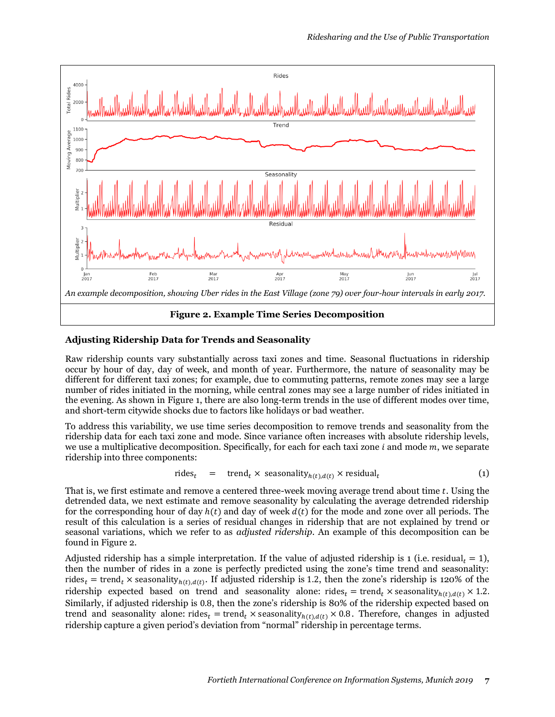

#### **Adjusting Ridership Data for Trends and Seasonality**

Raw ridership counts vary substantially across taxi zones and time. Seasonal fluctuations in ridership occur by hour of day, day of week, and month of year. Furthermore, the nature of seasonality may be different for different taxi zones; for example, due to commuting patterns, remote zones may see a large number of rides initiated in the morning, while central zones may see a large number of rides initiated in the evening. As shown in [Figure 1,](#page-3-0) there are also long-term trends in the use of different modes over time, and short-term citywide shocks due to factors like holidays or bad weather.

To address this variability, we use time series decomposition to remove trends and seasonality from the ridership data for each taxi zone and mode. Since variance often increases with absolute ridership levels, we use a multiplicative decomposition. Specifically, for each for each taxi zone  $i$  and mode  $m$ , we separate ridership into three components:

$$
rides_t = trend_t \times seasonality_{h(t),d(t)} \times residual_t \tag{1}
$$

That is, we first estimate and remove a centered three-week moving average trend about time t. Using the detrended data, we next estimate and remove seasonality by calculating the average detrended ridership for the corresponding hour of day  $h(t)$  and day of week  $d(t)$  for the mode and zone over all periods. The result of this calculation is a series of residual changes in ridership that are not explained by trend or seasonal variations, which we refer to as *adjusted ridership*. An example of this decomposition can be found i[n Figure 2.](#page-4-0)

Adjusted ridership has a simple interpretation. If the value of adjusted ridership is 1 (i.e. residual,  $= 1$ ), then the number of rides in a zone is perfectly predicted using the zone's time trend and seasonality: rides<sub>t</sub> = trend<sub>t</sub> × seasonality<sub>h(t),d(t)</sub>. If adjusted ridership is 1.2, then the zone's ridership is 120% of the ridership expected based on trend and seasonality alone: rides $_t = \text{trend}_t \times$  seasonality $h(t), d(t) \times 1.2$ . Similarly, if adjusted ridership is 0.8, then the zone's ridership is 80% of the ridership expected based on trend and seasonality alone: rides = trend × seasonality  $h(t), d(t) \times 0.8$ . Therefore, changes in adjusted ridership capture a given period's deviation from "normal" ridership in percentage terms.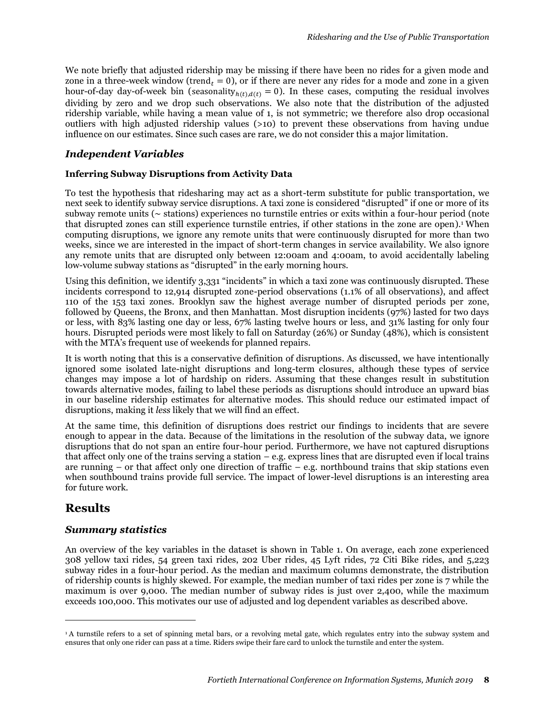We note briefly that adjusted ridership may be missing if there have been no rides for a given mode and zone in a three-week window (trend,  $= 0$ ), or if there are never any rides for a mode and zone in a given hour-of-day day-of-week bin (seasonality $h(t), d(t) = 0$ ). In these cases, computing the residual involves dividing by zero and we drop such observations. We also note that the distribution of the adjusted ridership variable, while having a mean value of 1, is not symmetric; we therefore also drop occasional outliers with high adjusted ridership values (>10) to prevent these observations from having undue influence on our estimates. Since such cases are rare, we do not consider this a major limitation.

#### *Independent Variables*

#### **Inferring Subway Disruptions from Activity Data**

To test the hypothesis that ridesharing may act as a short-term substitute for public transportation, we next seek to identify subway service disruptions. A taxi zone is considered "disrupted" if one or more of its subway remote units (∼ stations) experiences no turnstile entries or exits within a four-hour period (note that disrupted zones can still experience turnstile entries, if other stations in the zone are open).<sup>1</sup> When computing disruptions, we ignore any remote units that were continuously disrupted for more than two weeks, since we are interested in the impact of short-term changes in service availability. We also ignore any remote units that are disrupted only between 12:00am and 4:00am, to avoid accidentally labeling low-volume subway stations as "disrupted" in the early morning hours.

Using this definition, we identify 3,331 "incidents" in which a taxi zone was continuously disrupted. These incidents correspond to 12,914 disrupted zone-period observations (1.1% of all observations), and affect 110 of the 153 taxi zones. Brooklyn saw the highest average number of disrupted periods per zone, followed by Queens, the Bronx, and then Manhattan. Most disruption incidents (97%) lasted for two days or less, with 83% lasting one day or less, 67% lasting twelve hours or less, and 31% lasting for only four hours. Disrupted periods were most likely to fall on Saturday (26%) or Sunday (48%), which is consistent with the MTA's frequent use of weekends for planned repairs.

It is worth noting that this is a conservative definition of disruptions. As discussed, we have intentionally ignored some isolated late-night disruptions and long-term closures, although these types of service changes may impose a lot of hardship on riders. Assuming that these changes result in substitution towards alternative modes, failing to label these periods as disruptions should introduce an upward bias in our baseline ridership estimates for alternative modes. This should reduce our estimated impact of disruptions, making it *less* likely that we will find an effect.

<span id="page-7-0"></span>At the same time, this definition of disruptions does restrict our findings to incidents that are severe enough to appear in the data. Because of the limitations in the resolution of the subway data, we ignore disruptions that do not span an entire four-hour period. Furthermore, we have not captured disruptions that affect only one of the trains serving a station  $-e.g.$  express lines that are disrupted even if local trains are running – or that affect only one direction of traffic – e.g. northbound trains that skip stations even when southbound trains provide full service. The impact of lower-level disruptions is an interesting area for future work.

### **Results**

 $\overline{a}$ 

#### *Summary statistics*

An overview of the key variables in the dataset is shown in [Table 1.](#page-7-0) On average, each zone experienced 308 yellow taxi rides, 54 green taxi rides, 202 Uber rides, 45 Lyft rides, 72 Citi Bike rides, and 5,223 subway rides in a four-hour period. As the median and maximum columns demonstrate, the distribution of ridership counts is highly skewed. For example, the median number of taxi rides per zone is 7 while the maximum is over 9,000. The median number of subway rides is just over 2,400, while the maximum exceeds 100,000. This motivates our use of adjusted and log dependent variables as described above.

<sup>1</sup> A turnstile refers to a set of spinning metal bars, or a revolving metal gate, which regulates entry into the subway system and ensures that only one rider can pass at a time. Riders swipe their fare card to unlock the turnstile and enter the system.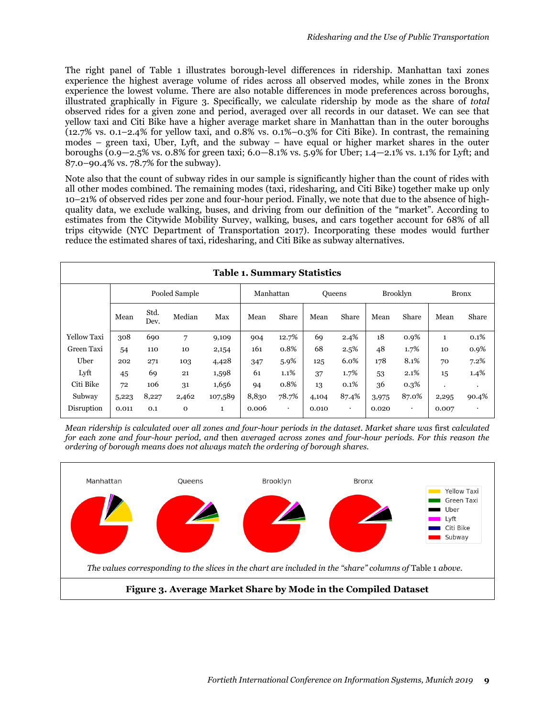The right panel of [Table 1](#page-7-0) illustrates borough-level differences in ridership. Manhattan taxi zones experience the highest average volume of rides across all observed modes, while zones in the Bronx experience the lowest volume. There are also notable differences in mode preferences across boroughs, illustrated graphically in Figure 3. Specifically, we calculate ridership by mode as the share of *total* observed rides for a given zone and period, averaged over all records in our dataset. We can see that yellow taxi and Citi Bike have a higher average market share in Manhattan than in the outer boroughs (12.7% vs. 0.1–2.4% for yellow taxi, and 0.8% vs. 0.1%–0.3% for Citi Bike). In contrast, the remaining modes – green taxi, Uber, Lyft, and the subway – have equal or higher market shares in the outer boroughs (0.9—2.5% vs. 0.8% for green taxi; 6.0—8.1% vs. 5.9% for Uber; 1.4—2.1% vs. 1.1% for Lyft; and 87.0–90.4% vs. 78.7% for the subway).

Note also that the count of subway rides in our sample is significantly higher than the count of rides with all other modes combined. The remaining modes (taxi, ridesharing, and Citi Bike) together make up only 10–21% of observed rides per zone and four-hour period. Finally, we note that due to the absence of highquality data, we exclude walking, buses, and driving from our definition of the "market". According to estimates from the Citywide Mobility Survey, walking, buses, and cars together account for 68% of all trips citywide (NYC Department of Transportation 2017). Incorporating these modes would further reduce the estimated shares of taxi, ridesharing, and Citi Bike as subway alternatives.

| <b>Table 1. Summary Statistics</b> |               |              |              |           |       |               |       |                 |       |              |              |           |
|------------------------------------|---------------|--------------|--------------|-----------|-------|---------------|-------|-----------------|-------|--------------|--------------|-----------|
|                                    | Pooled Sample |              |              | Manhattan |       | <b>Oueens</b> |       | <b>Brooklyn</b> |       | <b>Bronx</b> |              |           |
|                                    | Mean          | Std.<br>Dev. | Median       | Max       | Mean  | Share         | Mean  | Share           | Mean  | Share        | Mean         | Share     |
| <b>Yellow Taxi</b>                 | 308           | 690          | 7            | 9,109     | 904   | 12.7%         | 69    | 2.4%            | 18    | 0.9%         | $\mathbf{1}$ | 0.1%      |
| Green Taxi                         | 54            | 110          | 10           | 2,154     | 161   | 0.8%          | 68    | 2.5%            | 48    | 1.7%         | 10           | 0.9%      |
| Uber                               | 202           | 271          | 103          | 4,428     | 347   | 5.9%          | 125   | 6.0%            | 178   | 8.1%         | 70           | 7.2%      |
| Lyft                               | 45            | 69           | 21           | 1,598     | 61    | 1.1%          | 37    | 1.7%            | 53    | 2.1%         | 15           | 1.4%      |
| Citi Bike                          | 72            | 106          | 31           | 1,656     | 94    | 0.8%          | 13    | 0.1%            | 36    | $0.3\%$      | ٠            | $\bullet$ |
| Subway                             | 5,223         | 8,227        | 2,462        | 107,589   | 8,830 | 78.7%         | 4,104 | 87.4%           | 3,975 | 87.0%        | 2,295        | 90.4%     |
| Disruption                         | 0.011         | 0.1          | $\mathbf{O}$ | 1         | 0.006 | ٠             | 0.010 | ٠               | 0.020 | ٠            | 0.007        |           |

*Mean ridership is calculated over all zones and four-hour periods in the dataset. Market share was* first *calculated for each zone and four-hour period, and* then *averaged across zones and four-hour periods. For this reason the ordering of borough means does not always match the ordering of borough shares.*

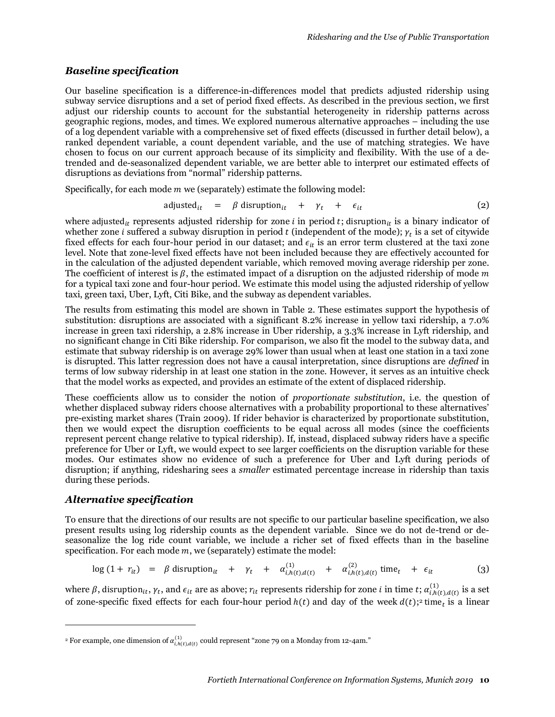#### *Baseline specification*

Our baseline specification is a difference-in-differences model that predicts adjusted ridership using subway service disruptions and a set of period fixed effects. As described in the previous section, we first adjust our ridership counts to account for the substantial heterogeneity in ridership patterns across geographic regions, modes, and times. We explored numerous alternative approaches – including the use of a log dependent variable with a comprehensive set of fixed effects (discussed in further detail below), a ranked dependent variable, a count dependent variable, and the use of matching strategies. We have chosen to focus on our current approach because of its simplicity and flexibility. With the use of a detrended and de-seasonalized dependent variable, we are better able to interpret our estimated effects of disruptions as deviations from "normal" ridership patterns.

Specifically, for each mode  $m$  we (separately) estimate the following model:

$$
adjusted_{it} = \beta \text{ disruption}_{it} + \gamma_t + \epsilon_{it}
$$
 (2)

where adjusted  $_{it}$  represents adjusted ridership for zone *i* in period *t*; disruption<sub>it</sub> is a binary indicator of whether zone  $i$  suffered a subway disruption in period  $t$  (independent of the mode);  $\gamma_t$  is a set of citywide fixed effects for each four-hour period in our dataset; and  $\epsilon_{it}$  is an error term clustered at the taxi zone level. Note that zone-level fixed effects have not been included because they are effectively accounted for in the calculation of the adjusted dependent variable, which removed moving average ridership per zone. The coefficient of interest is  $\beta$ , the estimated impact of a disruption on the adjusted ridership of mode m for a typical taxi zone and four-hour period. We estimate this model using the adjusted ridership of yellow taxi, green taxi, Uber, Lyft, Citi Bike, and the subway as dependent variables.

The results from estimating this model are shown in Table 2. These estimates support the hypothesis of substitution: disruptions are associated with a significant 8.2% increase in yellow taxi ridership, a 7.0% increase in green taxi ridership, a 2.8% increase in Uber ridership, a 3.3% increase in Lyft ridership, and no significant change in Citi Bike ridership. For comparison, we also fit the model to the subway data, and estimate that subway ridership is on average 29% lower than usual when at least one station in a taxi zone is disrupted. This latter regression does not have a causal interpretation, since disruptions are *defined* in terms of low subway ridership in at least one station in the zone. However, it serves as an intuitive check that the model works as expected, and provides an estimate of the extent of displaced ridership.

These coefficients allow us to consider the notion of *proportionate substitution*, i.e. the question of whether displaced subway riders choose alternatives with a probability proportional to these alternatives' pre-existing market shares (Train 2009). If rider behavior is characterized by proportionate substitution, then we would expect the disruption coefficients to be equal across all modes (since the coefficients represent percent change relative to typical ridership). If, instead, displaced subway riders have a specific preference for Uber or Lyft, we would expect to see larger coefficients on the disruption variable for these modes. Our estimates show no evidence of such a preference for Uber and Lyft during periods of disruption; if anything, ridesharing sees a *smaller* estimated percentage increase in ridership than taxis during these periods.

#### *Alternative specification*

 $\overline{a}$ 

To ensure that the directions of our results are not specific to our particular baseline specification, we also present results using log ridership counts as the dependent variable. Since we do not de-trend or deseasonalize the log ride count variable, we include a richer set of fixed effects than in the baseline specification. For each mode  $m$ , we (separately) estimate the model:

$$
\log (1 + r_{it}) = \beta \text{ disruption}_{it} + \gamma_t + \alpha_{i,h(t),d(t)}^{(1)} + \alpha_{i,h(t),d(t)}^{(2)} \text{ time}_{t} + \epsilon_{it}
$$
 (3)

where  $\beta$ , disruption $_{it},\gamma_t$ , and  $\epsilon_{it}$  are as above;  $r_{it}$  represents ridership for zone  $i$  in time  $t;$   $\alpha_{i,h(t),d(t)}^{(1)}$  is a set of zone-specific fixed effects for each four-hour period  $h(t)$  and day of the week  $d(t)$ ;<sup>2</sup> time<sub>t</sub> is a linear

 $^{\rm 2}$  For example, one dimension of  $\alpha_{i,h(t),d(t)}^{(1)}$  could represent "zone 79 on a Monday from 12-4am."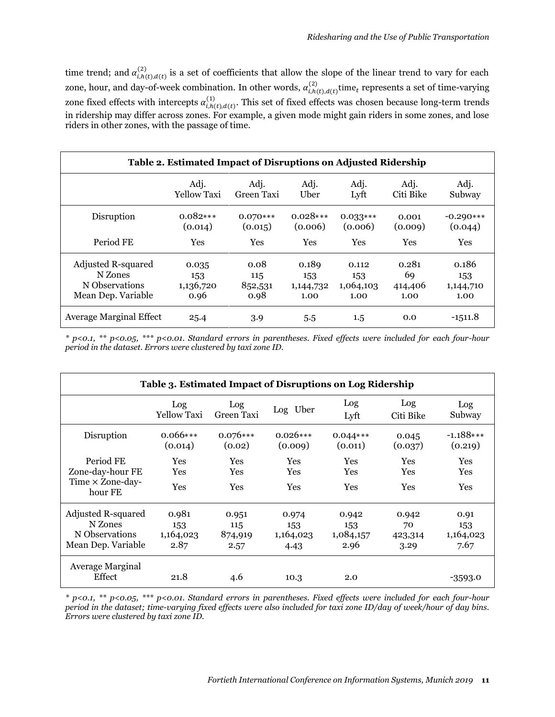time trend; and  $\alpha_{i,h(t),d(t)}^{(2)}$  is a set of coefficients that allow the slope of the linear trend to vary for each zone, hour, and day-of-week combination. In other words,  $\alpha_{i,h(t),d(t)}^{(2)}$  time<sub>t</sub> represents a set of time-varying zone fixed effects with intercepts  $\alpha_{i,h(t),d(t)}^{(1)}$ . This set of fixed effects was chosen because long-term trends in ridership may differ across zones. For example, a given mode might gain riders in some zones, and lose riders in other zones, with the passage of time.

| Table 2. Estimated Impact of Disruptions on Adjusted Ridership |                    |            |            |            |           |             |  |  |  |
|----------------------------------------------------------------|--------------------|------------|------------|------------|-----------|-------------|--|--|--|
|                                                                | Adj.               | Adj.       | Adj.       | Adj.       | Adj.      | Adj.        |  |  |  |
|                                                                | <b>Yellow Taxi</b> | Green Taxi | Uber       | Lyft       | Citi Bike | Subway      |  |  |  |
| Disruption                                                     | $0.082***$         | $0.070***$ | $0.028***$ | $0.033***$ | 0.001     | $-0.290***$ |  |  |  |
|                                                                | (0.014)            | (0.015)    | (0.006)    | (0.006)    | (0.009)   | (0.044)     |  |  |  |
| Period FE                                                      | Yes                | <b>Yes</b> | <b>Yes</b> | <b>Yes</b> | Yes       | Yes         |  |  |  |
| Adjusted R-squared                                             | 0.035              | 0.08       | 0.189      | 0.112      | 0.281     | 0.186       |  |  |  |
| N Zones                                                        | 153                | 115        | 153        | 153        | 69        | 153         |  |  |  |
| N Observations                                                 | 1,136,720          | 852,531    | 1,144,732  | 1,064,103  | 414,406   | 1,144,710   |  |  |  |
| Mean Dep. Variable                                             | 0.96               | 0.98       | 1.00       | 1.00       | 1.00      | 1.00        |  |  |  |
| <b>Average Marginal Effect</b>                                 | 25.4               | 3.9        | 5.5        | $1.5\,$    | 0.0       | $-1511.8$   |  |  |  |

*\* p<0.1, \*\* p<0.05, \*\*\* p<0.01. Standard errors in parentheses. Fixed effects were included for each four-hour period in the dataset. Errors were clustered by taxi zone ID.* 

| Table 3. Estimated Impact of Disruptions on Log Ridership |                           |                      |                       |                       |                  |                        |  |  |  |
|-----------------------------------------------------------|---------------------------|----------------------|-----------------------|-----------------------|------------------|------------------------|--|--|--|
|                                                           | Log<br><b>Yellow Taxi</b> | Log<br>Green Taxi    | Log Uber              | Log<br>Lyft           | Log<br>Citi Bike | Log<br>Subway          |  |  |  |
| Disruption                                                | $0.066***$<br>(0.014)     | $0.076***$<br>(0.02) | $0.026***$<br>(0.009) | $0.044***$<br>(0.011) | 0.045<br>(0.037) | $-1.188***$<br>(0.219) |  |  |  |
| Period FE<br>Zone-day-hour FE                             | <b>Yes</b><br><b>Yes</b>  | Yes<br><b>Yes</b>    | Yes<br>Yes            | Yes<br>Yes            | Yes<br>Yes       | Yes<br><b>Yes</b>      |  |  |  |
| Time × Zone-day-<br>hour FE                               | Yes                       | Yes                  | Yes                   | Yes                   | Yes              | Yes                    |  |  |  |
| Adjusted R-squared                                        | 0.981                     | 0.951                | 0.974                 | 0.942                 | 0.942            | 0.91                   |  |  |  |
| N Zones                                                   | 153                       | 115                  | 153                   | 153                   | 70               | 153                    |  |  |  |
| N Observations                                            | 1,164,023                 | 874,919              | 1,164,023             | 1,084,157             | 423,314          | 1,164,023              |  |  |  |
| Mean Dep. Variable                                        | 2.87                      | 2.57                 | 4.43                  | 2.96                  | 3.29             | 7.67                   |  |  |  |
| Average Marginal                                          |                           |                      |                       |                       |                  |                        |  |  |  |
| Effect                                                    | 21.8                      | 4.6                  | 10.3                  | 2.0                   |                  | $-3593.0$              |  |  |  |

*\* p<0.1, \*\* p<0.05, \*\*\* p<0.01. Standard errors in parentheses. Fixed effects were included for each four-hour period in the dataset; time-varying fixed effects were also included for taxi zone ID/day of week/hour of day bins. Errors were clustered by taxi zone ID.*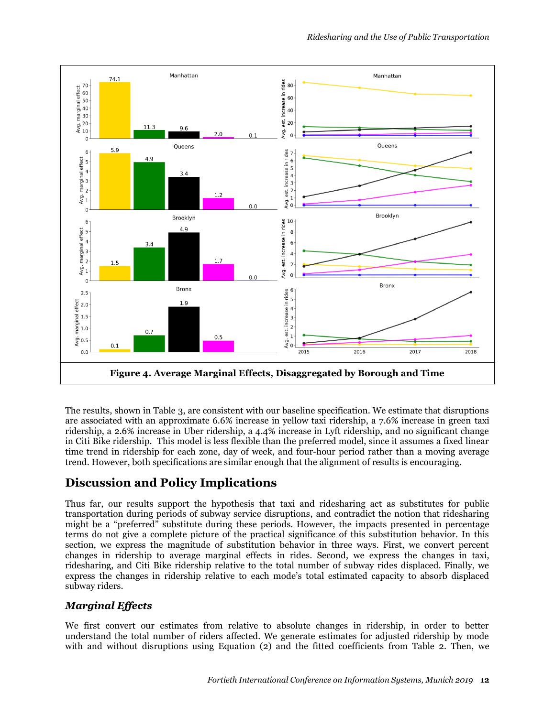

The results, shown in Table 3, are consistent with our baseline specification. We estimate that disruptions are associated with an approximate 6.6% increase in yellow taxi ridership, a 7.6% increase in green taxi ridership, a 2.6% increase in Uber ridership, a 4.4% increase in Lyft ridership, and no significant change in Citi Bike ridership. This model is less flexible than the preferred model, since it assumes a fixed linear time trend in ridership for each zone, day of week, and four-hour period rather than a moving average trend. However, both specifications are similar enough that the alignment of results is encouraging.

# **Discussion and Policy Implications**

Thus far, our results support the hypothesis that taxi and ridesharing act as substitutes for public transportation during periods of subway service disruptions, and contradict the notion that ridesharing might be a "preferred" substitute during these periods. However, the impacts presented in percentage terms do not give a complete picture of the practical significance of this substitution behavior. In this section, we express the magnitude of substitution behavior in three ways. First, we convert percent changes in ridership to average marginal effects in rides. Second, we express the changes in taxi, ridesharing, and Citi Bike ridership relative to the total number of subway rides displaced. Finally, we express the changes in ridership relative to each mode's total estimated capacity to absorb displaced subway riders.

### *Marginal Effects*

We first convert our estimates from relative to absolute changes in ridership, in order to better understand the total number of riders affected. We generate estimates for adjusted ridership by mode with and without disruptions using Equation (2) and the fitted coefficients from Table 2. Then, we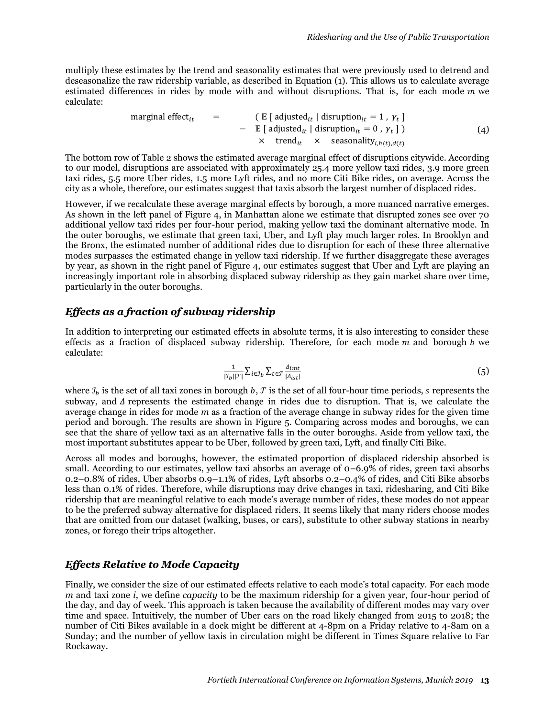multiply these estimates by the trend and seasonality estimates that were previously used to detrend and deseasonalize the raw ridership variable, as described in Equation (1). This allows us to calculate average estimated differences in rides by mode with and without disruptions. That is, for each mode  $m$  we calculate:

\n
$$
\text{marginal effect}_{it} = \n \begin{cases}\n \begin{aligned}\n & \text{[} \quad \text{[} \quad \text{[} \quad \text{[} \quad \text{[} \quad \text{[} \quad \text{[} \quad \text{[} \quad \text{[} \quad \text{[} \quad \text{[} \quad \text{[} \quad \text{[} \quad \text{[} \quad \text{[} \quad \text{[} \quad \text{[} \quad \text{[} \quad \text{[} \quad \text{[} \quad \text{[} \quad \text{[} \quad \text{[} \quad \text{[} \quad \text{[} \quad \text{[} \quad \text{[} \quad \text{[} \quad \text{[} \quad \text{[} \quad \text{[} \quad \text{[} \quad \text{[} \quad \text{[} \quad \text{[} \quad \text{[} \quad \text{[} \quad \text{[} \quad \text{[} \quad \text{[} \quad \text{[} \quad \text{[} \quad \text{[} \quad \text{[} \quad \text{[} \quad \text{[} \quad \text{[} \quad \text{[} \quad \text{[} \quad \text{[} \quad \text{[} \quad \text{[} \quad \text{[} \quad \text{[} \quad \text{[} \quad \text{[} \quad \text{[} \quad \text{[} \quad \text{[} \quad \text{[} \quad \text{[} \quad \text{[} \quad \text{[} \quad \text{[} \quad \text{[} \quad \text{[} \quad \text{[} \quad \text{[} \quad \text{[} \quad \text{[} \quad \text{[} \quad \text{[} \quad \text{[} \quad \text{[} \quad \text{[} \quad \text{[} \quad \text{[} \quad \text{[} \quad \text{[} \quad \text{[} \quad \text{[} \quad \text{[} \quad \text{[} \quad \text{[} \quad \text{[} \quad \text{[} \quad \text{[} \quad \text{[} \quad \text{[} \quad \text{[} \quad \text{[} \quad \text{[} \quad \text{[} \quad \text{[} \quad \text{[} \quad \text{[} \quad \text{[} \quad \text{[} \quad \text{[} \quad \text{[} \quad \text{[} \quad \text{[} \quad \text{[} \quad \text{[} \quad \
$$

The bottom row of Table 2 shows the estimated average marginal effect of disruptions citywide. According to our model, disruptions are associated with approximately 25.4 more yellow taxi rides, 3.9 more green taxi rides, 5.5 more Uber rides, 1.5 more Lyft rides, and no more Citi Bike rides, on average. Across the city as a whole, therefore, our estimates suggest that taxis absorb the largest number of displaced rides.

However, if we recalculate these average marginal effects by borough, a more nuanced narrative emerges. As shown in the left panel of [Figure 4,](#page-12-0) in Manhattan alone we estimate that disrupted zones see over 70 additional yellow taxi rides per four-hour period, making yellow taxi the dominant alternative mode. In the outer boroughs, we estimate that green taxi, Uber, and Lyft play much larger roles. In Brooklyn and the Bronx, the estimated number of additional rides due to disruption for each of these three alternative modes surpasses the estimated change in yellow taxi ridership. If we further disaggregate these averages by year, as shown in the right panel of [Figure 4,](#page-12-0) our estimates suggest that Uber and Lyft are playing an increasingly important role in absorbing displaced subway ridership as they gain market share over time, particularly in the outer boroughs.

#### <span id="page-12-0"></span>*Effects as a fraction of subway ridership*

In addition to interpreting our estimated effects in absolute terms, it is also interesting to consider these effects as a fraction of displaced subway ridership. Therefore, for each mode  $m$  and borough  $b$  we calculate:

$$
\frac{1}{|\mathcal{I}_b||\mathcal{T}|} \sum_{i \in \mathcal{I}_b} \sum_{t \in \mathcal{T}} \frac{\mathcal{A}_{int}}{|\mathcal{A}_{ist}|} \tag{5}
$$

where  $\mathcal{I}_h$  is the set of all taxi zones in borough  $b, \mathcal{T}$  is the set of all four-hour time periods, s represents the subway, and  $\Delta$  represents the estimated change in rides due to disruption. That is, we calculate the average change in rides for mode *m* as a fraction of the average change in subway rides for the given time period and borough. The results are shown in [Figure 5.](#page-12-1) Comparing across modes and boroughs, we can see that the share of yellow taxi as an alternative falls in the outer boroughs. Aside from yellow taxi, the most important substitutes appear to be Uber, followed by green taxi, Lyft, and finally Citi Bike.

Across all modes and boroughs, however, the estimated proportion of displaced ridership absorbed is small. According to our estimates, yellow taxi absorbs an average of 0–6.9% of rides, green taxi absorbs 0.2–0.8% of rides, Uber absorbs 0.9–1.1% of rides, Lyft absorbs 0.2–0.4% of rides, and Citi Bike absorbs less than 0.1% of rides. Therefore, while disruptions may drive changes in taxi, ridesharing, and Citi Bike ridership that are meaningful relative to each mode's average number of rides, these modes do not appear to be the preferred subway alternative for displaced riders. It seems likely that many riders choose modes that are omitted from our dataset (walking, buses, or cars), substitute to other subway stations in nearby zones, or forego their trips altogether.

#### <span id="page-12-1"></span>*Effects Relative to Mode Capacity*

Finally, we consider the size of our estimated effects relative to each mode's total capacity. For each mode *m* and taxi zone *i*, we define *capacity* to be the maximum ridership for a given year, four-hour period of the day, and day of week. This approach is taken because the availability of different modes may vary over time and space. Intuitively, the number of Uber cars on the road likely changed from 2015 to 2018; the number of Citi Bikes available in a dock might be different at 4-8pm on a Friday relative to 4-8am on a Sunday; and the number of yellow taxis in circulation might be different in Times Square relative to Far Rockaway.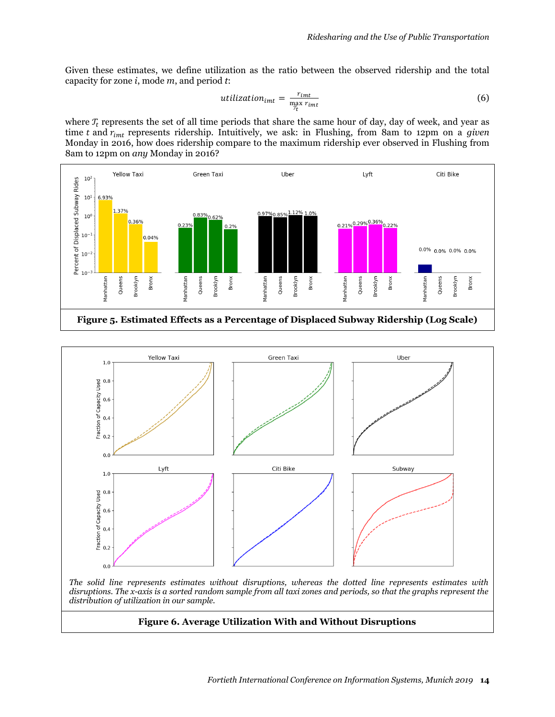Given these estimates, we define utilization as the ratio between the observed ridership and the total capacity for zone *i*, mode *m*, and period *t*:

$$
utilization_{imt} = \frac{r_{imt}}{\max_{\mathcal{T}_t} r_{imt}} \tag{6}
$$

where  $T_t$  represents the set of all time periods that share the same hour of day, day of week, and year as time  $t$  and  $r_{imt}$  represents ridership. Intuitively, we ask: in Flushing, from 8am to 12pm on a *given* Monday in 2016, how does ridership compare to the maximum ridership ever observed in Flushing from 8am to 12pm on *any* Monday in 2016?





*The solid line represents estimates without disruptions, whereas the dotted line represents estimates with disruptions. The x-axis is a sorted random sample from all taxi zones and periods, so that the graphs represent the distribution of utilization in our sample.*

#### **Figure 6. Average Utilization With and Without Disruptions**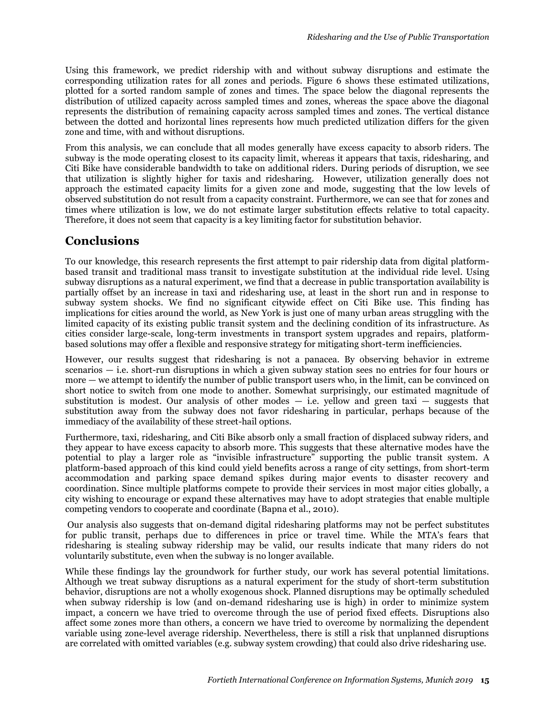Using this framework, we predict ridership with and without subway disruptions and estimate the corresponding utilization rates for all zones and periods. Figure 6 shows these estimated utilizations, plotted for a sorted random sample of zones and times. The space below the diagonal represents the distribution of utilized capacity across sampled times and zones, whereas the space above the diagonal represents the distribution of remaining capacity across sampled times and zones. The vertical distance between the dotted and horizontal lines represents how much predicted utilization differs for the given zone and time, with and without disruptions.

From this analysis, we can conclude that all modes generally have excess capacity to absorb riders. The subway is the mode operating closest to its capacity limit, whereas it appears that taxis, ridesharing, and Citi Bike have considerable bandwidth to take on additional riders. During periods of disruption, we see that utilization is slightly higher for taxis and ridesharing. However, utilization generally does not approach the estimated capacity limits for a given zone and mode, suggesting that the low levels of observed substitution do not result from a capacity constraint. Furthermore, we can see that for zones and times where utilization is low, we do not estimate larger substitution effects relative to total capacity. Therefore, it does not seem that capacity is a key limiting factor for substitution behavior.

# **Conclusions**

To our knowledge, this research represents the first attempt to pair ridership data from digital platformbased transit and traditional mass transit to investigate substitution at the individual ride level. Using subway disruptions as a natural experiment, we find that a decrease in public transportation availability is partially offset by an increase in taxi and ridesharing use, at least in the short run and in response to subway system shocks. We find no significant citywide effect on Citi Bike use. This finding has implications for cities around the world, as New York is just one of many urban areas struggling with the limited capacity of its existing public transit system and the declining condition of its infrastructure. As cities consider large-scale, long-term investments in transport system upgrades and repairs, platformbased solutions may offer a flexible and responsive strategy for mitigating short-term inefficiencies.

However, our results suggest that ridesharing is not a panacea. By observing behavior in extreme scenarios — i.e. short-run disruptions in which a given subway station sees no entries for four hours or more — we attempt to identify the number of public transport users who, in the limit, can be convinced on short notice to switch from one mode to another. Somewhat surprisingly, our estimated magnitude of substitution is modest. Our analysis of other modes  $-$  i.e. yellow and green taxi  $-$  suggests that substitution away from the subway does not favor ridesharing in particular, perhaps because of the immediacy of the availability of these street-hail options.

Furthermore, taxi, ridesharing, and Citi Bike absorb only a small fraction of displaced subway riders, and they appear to have excess capacity to absorb more. This suggests that these alternative modes have the potential to play a larger role as "invisible infrastructure" supporting the public transit system. A platform-based approach of this kind could yield benefits across a range of city settings, from short-term accommodation and parking space demand spikes during major events to disaster recovery and coordination. Since multiple platforms compete to provide their services in most major cities globally, a city wishing to encourage or expand these alternatives may have to adopt strategies that enable multiple competing vendors to cooperate and coordinate (Bapna et al., 2010).

Our analysis also suggests that on-demand digital ridesharing platforms may not be perfect substitutes for public transit, perhaps due to differences in price or travel time. While the MTA's fears that ridesharing is stealing subway ridership may be valid, our results indicate that many riders do not voluntarily substitute, even when the subway is no longer available.

While these findings lay the groundwork for further study, our work has several potential limitations. Although we treat subway disruptions as a natural experiment for the study of short-term substitution behavior, disruptions are not a wholly exogenous shock. Planned disruptions may be optimally scheduled when subway ridership is low (and on-demand ridesharing use is high) in order to minimize system impact, a concern we have tried to overcome through the use of period fixed effects. Disruptions also affect some zones more than others, a concern we have tried to overcome by normalizing the dependent variable using zone-level average ridership. Nevertheless, there is still a risk that unplanned disruptions are correlated with omitted variables (e.g. subway system crowding) that could also drive ridesharing use.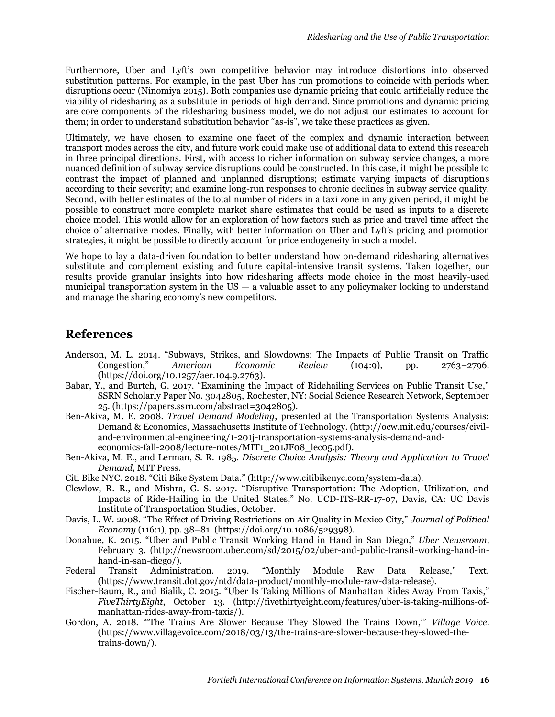Furthermore, Uber and Lyft's own competitive behavior may introduce distortions into observed substitution patterns. For example, in the past Uber has run promotions to coincide with periods when disruptions occur (Ninomiya 2015). Both companies use dynamic pricing that could artificially reduce the viability of ridesharing as a substitute in periods of high demand. Since promotions and dynamic pricing are core components of the ridesharing business model, we do not adjust our estimates to account for them; in order to understand substitution behavior "as-is", we take these practices as given.

Ultimately, we have chosen to examine one facet of the complex and dynamic interaction between transport modes across the city, and future work could make use of additional data to extend this research in three principal directions. First, with access to richer information on subway service changes, a more nuanced definition of subway service disruptions could be constructed. In this case, it might be possible to contrast the impact of planned and unplanned disruptions; estimate varying impacts of disruptions according to their severity; and examine long-run responses to chronic declines in subway service quality. Second, with better estimates of the total number of riders in a taxi zone in any given period, it might be possible to construct more complete market share estimates that could be used as inputs to a discrete choice model. This would allow for an exploration of how factors such as price and travel time affect the choice of alternative modes. Finally, with better information on Uber and Lyft's pricing and promotion strategies, it might be possible to directly account for price endogeneity in such a model.

We hope to lay a data-driven foundation to better understand how on-demand ridesharing alternatives substitute and complement existing and future capital-intensive transit systems. Taken together, our results provide granular insights into how ridesharing affects mode choice in the most heavily-used municipal transportation system in the  $US - a$  valuable asset to any policymaker looking to understand and manage the sharing economy's new competitors.

### **References**

- Anderson, M. L. 2014. "Subways, Strikes, and Slowdowns: The Impacts of Public Transit on Traffic Congestion," *American Economic Review* (104:9), pp. 2763–2796. (https://doi.org/10.1257/aer.104.9.2763).
- Babar, Y., and Burtch, G. 2017. "Examining the Impact of Ridehailing Services on Public Transit Use," SSRN Scholarly Paper No. 3042805, Rochester, NY: Social Science Research Network, September 25. (https://papers.ssrn.com/abstract=3042805).
- Ben-Akiva, M. E. 2008. *Travel Demand Modeling*, presented at the Transportation Systems Analysis: Demand & Economics, Massachusetts Institute of Technology. (http://ocw.mit.edu/courses/civiland-environmental-engineering/1-201j-transportation-systems-analysis-demand-andeconomics-fall-2008/lecture-notes/MIT1\_201JF08\_lec05.pdf).
- Ben-Akiva, M. E., and Lerman, S. R. 1985. *Discrete Choice Analysis: Theory and Application to Travel Demand*, MIT Press.
- Citi Bike NYC. 2018. "Citi Bike System Data." (http://www.citibikenyc.com/system-data).
- Clewlow, R. R., and Mishra, G. S. 2017. "Disruptive Transportation: The Adoption, Utilization, and Impacts of Ride-Hailing in the United States," No. UCD-ITS-RR-17-07, Davis, CA: UC Davis Institute of Transportation Studies, October.
- Davis, L. W. 2008. "The Effect of Driving Restrictions on Air Quality in Mexico City," *Journal of Political Economy* (116:1), pp. 38–81. (https://doi.org/10.1086/529398).
- Donahue, K. 2015. "Uber and Public Transit Working Hand in Hand in San Diego," *Uber Newsroom*, February 3. (http://newsroom.uber.com/sd/2015/02/uber-and-public-transit-working-hand-inhand-in-san-diego/).
- Federal Transit Administration. 2019. "Monthly Module Raw Data Release," Text. (https://www.transit.dot.gov/ntd/data-product/monthly-module-raw-data-release).
- Fischer-Baum, R., and Bialik, C. 2015. "Uber Is Taking Millions of Manhattan Rides Away From Taxis," *FiveThirtyEight*, October 13. (http://fivethirtyeight.com/features/uber-is-taking-millions-ofmanhattan-rides-away-from-taxis/).
- Gordon, A. 2018. "'The Trains Are Slower Because They Slowed the Trains Down,'" *Village Voice*. (https://www.villagevoice.com/2018/03/13/the-trains-are-slower-because-they-slowed-thetrains-down/).